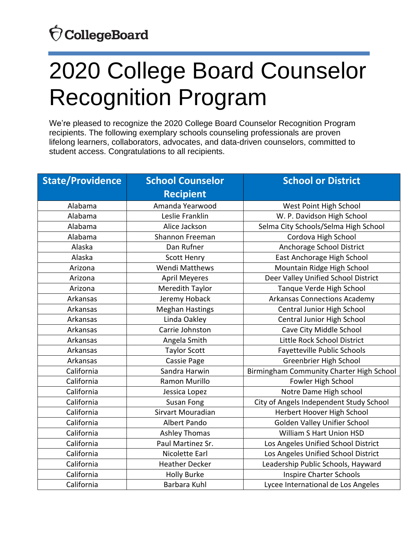#### OcollegeBoard

# 2020 College Board Counselor Recognition Program

We're pleased to recognize the 2020 College Board Counselor Recognition Program recipients. The following exemplary schools counseling professionals are proven lifelong learners, collaborators, advocates, and data-driven counselors, committed to student access. Congratulations to all recipients.

| <b>State/Providence</b> | <b>School Counselor</b> | <b>School or District</b>                |
|-------------------------|-------------------------|------------------------------------------|
|                         | <b>Recipient</b>        |                                          |
| Alabama                 | Amanda Yearwood         | West Point High School                   |
| Alabama                 | Leslie Franklin         | W. P. Davidson High School               |
| Alabama                 | Alice Jackson           | Selma City Schools/Selma High School     |
| Alabama                 | Shannon Freeman         | Cordova High School                      |
| Alaska                  | Dan Rufner              | Anchorage School District                |
| Alaska                  | <b>Scott Henry</b>      | East Anchorage High School               |
| Arizona                 | <b>Wendi Matthews</b>   | Mountain Ridge High School               |
| Arizona                 | <b>April Meyeres</b>    | Deer Valley Unified School District      |
| Arizona                 | Meredith Taylor         | Tanque Verde High School                 |
| Arkansas                | Jeremy Hoback           | <b>Arkansas Connections Academy</b>      |
| Arkansas                | <b>Meghan Hastings</b>  | Central Junior High School               |
| Arkansas                | Linda Oakley            | Central Junior High School               |
| Arkansas                | Carrie Johnston         | Cave City Middle School                  |
| Arkansas                | Angela Smith            | Little Rock School District              |
| Arkansas                | <b>Taylor Scott</b>     | Fayetteville Public Schools              |
| Arkansas                | Cassie Page             | Greenbrier High School                   |
| California              | Sandra Harwin           | Birmingham Community Charter High School |
| California              | Ramon Murillo           | Fowler High School                       |
| California              | Jessica Lopez           | Notre Dame High school                   |
| California              | Susan Fong              | City of Angels Independent Study School  |
| California              | Sirvart Mouradian       | Herbert Hoover High School               |
| California              | Albert Pando            | Golden Valley Unifier School             |
| California              | <b>Ashley Thomas</b>    | William S Hart Union HSD                 |
| California              | Paul Martinez Sr.       | Los Angeles Unified School District      |
| California              | Nicolette Earl          | Los Angeles Unified School District      |
| California              | <b>Heather Decker</b>   | Leadership Public Schools, Hayward       |
| California              | <b>Holly Burke</b>      | <b>Inspire Charter Schools</b>           |
| California              | Barbara Kuhl            | Lycee International de Los Angeles       |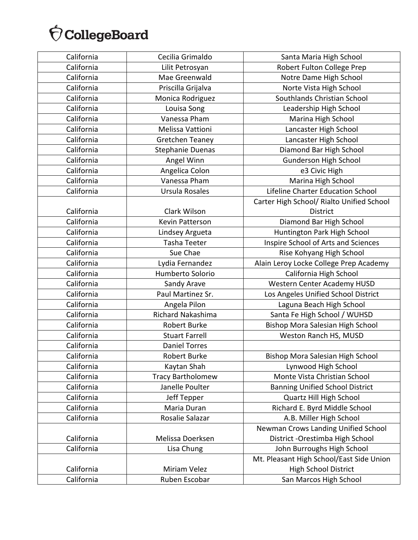| California | Cecilia Grimaldo         | Santa Maria High School                   |
|------------|--------------------------|-------------------------------------------|
| California | Lilit Petrosyan          | Robert Fulton College Prep                |
| California | Mae Greenwald            | Notre Dame High School                    |
| California | Priscilla Grijalva       | Norte Vista High School                   |
| California | Monica Rodriguez         | Southlands Christian School               |
| California | Louisa Song              | Leadership High School                    |
| California | Vanessa Pham             | Marina High School                        |
| California | Melissa Vattioni         | Lancaster High School                     |
| California | Gretchen Teaney          | Lancaster High School                     |
| California | <b>Stephanie Duenas</b>  | Diamond Bar High School                   |
| California | Angel Winn               | Gunderson High School                     |
| California | Angelica Colon           | e3 Civic High                             |
| California | Vanessa Pham             | Marina High School                        |
| California | Ursula Rosales           | Lifeline Charter Education School         |
|            |                          | Carter High School/ Rialto Unified School |
| California | Clark Wilson             | <b>District</b>                           |
| California | Kevin Patterson          | Diamond Bar High School                   |
| California | Lindsey Argueta          | Huntington Park High School               |
| California | Tasha Teeter             | Inspire School of Arts and Sciences       |
| California | Sue Chae                 | Rise Kohyang High School                  |
| California | Lydia Fernandez          | Alain Leroy Locke College Prep Academy    |
| California | Humberto Solorio         | California High School                    |
| California | Sandy Arave              | Western Center Academy HUSD               |
| California | Paul Martinez Sr.        | Los Angeles Unified School District       |
| California | Angela Pilon             | Laguna Beach High School                  |
| California | Richard Nakashima        | Santa Fe High School / WUHSD              |
| California | <b>Robert Burke</b>      | Bishop Mora Salesian High School          |
| California | <b>Stuart Farrell</b>    | Weston Ranch HS, MUSD                     |
| California | <b>Daniel Torres</b>     |                                           |
| California | <b>Robert Burke</b>      | Bishop Mora Salesian High School          |
| California | Kaytan Shah              | Lynwood High School                       |
| California | <b>Tracy Bartholomew</b> | Monte Vista Christian School              |
| California | Janelle Poulter          | <b>Banning Unified School District</b>    |
| California | Jeff Tepper              | Quartz Hill High School                   |
| California | Maria Duran              | Richard E. Byrd Middle School             |
| California | Rosalie Salazar          | A.B. Miller High School                   |
|            |                          | Newman Crows Landing Unified School       |
| California | Melissa Doerksen         | District - Orestimba High School          |
| California | Lisa Chung               | John Burroughs High School                |
|            |                          | Mt. Pleasant High School/East Side Union  |
| California | Miriam Velez             | <b>High School District</b>               |
| California | Ruben Escobar            | San Marcos High School                    |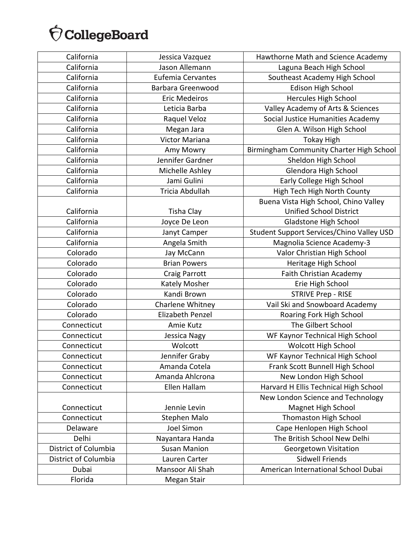| California           | Jessica Vazquez          | Hawthorne Math and Science Academy        |
|----------------------|--------------------------|-------------------------------------------|
| California           | Jason Allemann           | Laguna Beach High School                  |
| California           | <b>Eufemia Cervantes</b> | Southeast Academy High School             |
| California           | Barbara Greenwood        | <b>Edison High School</b>                 |
| California           | <b>Eric Medeiros</b>     | Hercules High School                      |
| California           | Leticia Barba            | Valley Academy of Arts & Sciences         |
| California           | Raquel Veloz             | Social Justice Humanities Academy         |
| California           | Megan Jara               | Glen A. Wilson High School                |
| California           | Victor Mariana           | <b>Tokay High</b>                         |
| California           | Amy Mowry                | Birmingham Community Charter High School  |
| California           | Jennifer Gardner         | Sheldon High School                       |
| California           | Michelle Ashley          | Glendora High School                      |
| California           | Jami Gulini              | Early College High School                 |
| California           | Tricia Abdullah          | High Tech High North County               |
|                      |                          | Buena Vista High School, Chino Valley     |
| California           | <b>Tisha Clay</b>        | <b>Unified School District</b>            |
| California           | Joyce De Leon            | Gladstone High School                     |
| California           | Janyt Camper             | Student Support Services/Chino Valley USD |
| California           | Angela Smith             | Magnolia Science Academy-3                |
| Colorado             | Jay McCann               | Valor Christian High School               |
| Colorado             | <b>Brian Powers</b>      | Heritage High School                      |
| Colorado             | Craig Parrott            | Faith Christian Academy                   |
| Colorado             | Kately Mosher            | Erie High School                          |
| Colorado             | Kandi Brown              | <b>STRIVE Prep - RISE</b>                 |
| Colorado             | Charlene Whitney         | Vail Ski and Snowboard Academy            |
| Colorado             | <b>Elizabeth Penzel</b>  | Roaring Fork High School                  |
| Connecticut          | Amie Kutz                | The Gilbert School                        |
| Connecticut          | Jessica Nagy             | WF Kaynor Technical High School           |
| Connecticut          | Wolcott                  | <b>Wolcott High School</b>                |
| Connecticut          | Jennifer Graby           | WF Kaynor Technical High School           |
| Connecticut          | Amanda Cotela            | Frank Scott Bunnell High School           |
| Connecticut          | Amanda Ahlcrona          | New London High School                    |
| Connecticut          | Ellen Hallam             | Harvard H Ellis Technical High School     |
|                      |                          | New London Science and Technology         |
| Connecticut          | Jennie Levin             | Magnet High School                        |
| Connecticut          | Stephen Malo             | Thomaston High School                     |
| Delaware             | Joel Simon               | Cape Henlopen High School                 |
| Delhi                | Nayantara Handa          | The British School New Delhi              |
| District of Columbia | <b>Susan Manion</b>      | Georgetown Visitation                     |
| District of Columbia | Lauren Carter            | <b>Sidwell Friends</b>                    |
| Dubai                | Mansoor Ali Shah         | American International School Dubai       |
| Florida              | Megan Stair              |                                           |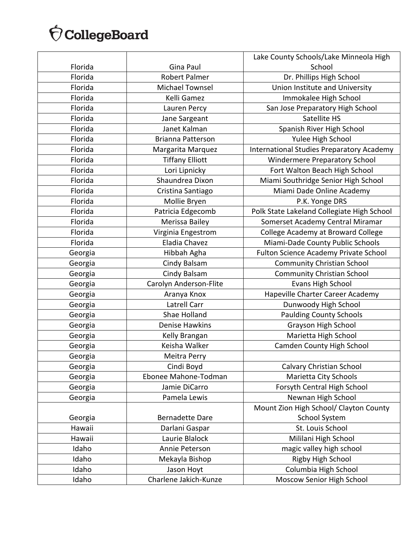|         |                          | Lake County Schools/Lake Minneola High     |
|---------|--------------------------|--------------------------------------------|
| Florida | Gina Paul                | School                                     |
| Florida | <b>Robert Palmer</b>     | Dr. Phillips High School                   |
| Florida | <b>Michael Townsel</b>   | Union Institute and University             |
| Florida | Kelli Gamez              | Immokalee High School                      |
| Florida | Lauren Percy             | San Jose Preparatory High School           |
| Florida | Jane Sargeant            | Satellite HS                               |
| Florida | Janet Kalman             | Spanish River High School                  |
| Florida | <b>Brianna Patterson</b> | Yulee High School                          |
| Florida | Margarita Marquez        | International Studies Preparatory Academy  |
| Florida | <b>Tiffany Elliott</b>   | Windermere Preparatory School              |
| Florida | Lori Lipnicky            | Fort Walton Beach High School              |
| Florida | Shaundrea Dixon          | Miami Southridge Senior High School        |
| Florida | Cristina Santiago        | Miami Dade Online Academy                  |
| Florida | Mollie Bryen             | P.K. Yonge DRS                             |
| Florida | Patricia Edgecomb        | Polk State Lakeland Collegiate High School |
| Florida | Merissa Bailey           | Somerset Academy Central Miramar           |
| Florida | Virginia Engestrom       | College Academy at Broward College         |
| Florida | Eladia Chavez            | Miami-Dade County Public Schools           |
| Georgia | Hibbah Agha              | Fulton Science Academy Private School      |
| Georgia | Cindy Balsam             | <b>Community Christian School</b>          |
| Georgia | Cindy Balsam             | <b>Community Christian School</b>          |
| Georgia | Carolyn Anderson-Flite   | Evans High School                          |
| Georgia | Aranya Knox              | Hapeville Charter Career Academy           |
| Georgia | Latrell Carr             | Dunwoody High School                       |
| Georgia | Shae Holland             | <b>Paulding County Schools</b>             |
| Georgia | <b>Denise Hawkins</b>    | Grayson High School                        |
| Georgia | Kelly Brangan            | Marietta High School                       |
| Georgia | Keisha Walker            | Camden County High School                  |
| Georgia | Meitra Perry             |                                            |
| Georgia | Cindi Boyd               | <b>Calvary Christian School</b>            |
| Georgia | Ebonee Mahone-Todman     | Marietta City Schools                      |
| Georgia | Jamie DiCarro            | Forsyth Central High School                |
| Georgia | Pamela Lewis             | Newnan High School                         |
|         |                          | Mount Zion High School/ Clayton County     |
| Georgia | <b>Bernadette Dare</b>   | <b>School System</b>                       |
| Hawaii  | Darlani Gaspar           | St. Louis School                           |
| Hawaii  | Laurie Blalock           | Mililani High School                       |
| Idaho   | Annie Peterson           | magic valley high school                   |
| Idaho   | Mekayla Bishop           | Rigby High School                          |
| Idaho   | Jason Hoyt               | Columbia High School                       |
| Idaho   | Charlene Jakich-Kunze    | Moscow Senior High School                  |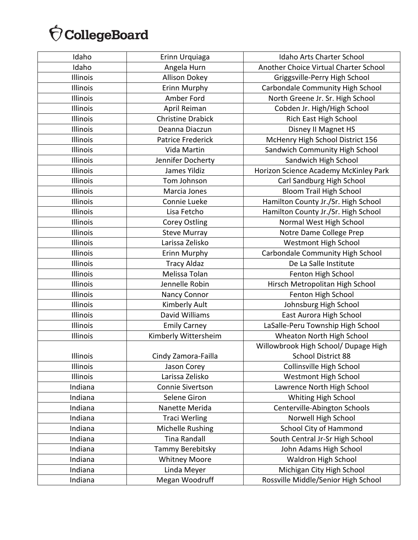| Idaho    | Erinn Urquiaga           | <b>Idaho Arts Charter School</b>      |
|----------|--------------------------|---------------------------------------|
| Idaho    | Angela Hurn              | Another Choice Virtual Charter School |
| Illinois | <b>Allison Dokey</b>     | Griggsville-Perry High School         |
| Illinois | Erinn Murphy             | Carbondale Community High School      |
| Illinois | Amber Ford               | North Greene Jr. Sr. High School      |
| Illinois | April Reiman             | Cobden Jr. High/High School           |
| Illinois | <b>Christine Drabick</b> | Rich East High School                 |
| Illinois | Deanna Diaczun           | Disney II Magnet HS                   |
| Illinois | Patrice Frederick        | McHenry High School District 156      |
| Illinois | Vida Martin              | Sandwich Community High School        |
| Illinois | Jennifer Docherty        | Sandwich High School                  |
| Illinois | James Yildiz             | Horizon Science Academy McKinley Park |
| Illinois | Tom Johnson              | Carl Sandburg High School             |
| Illinois | Marcia Jones             | <b>Bloom Trail High School</b>        |
| Illinois | Connie Lueke             | Hamilton County Jr./Sr. High School   |
| Illinois | Lisa Fetcho              | Hamilton County Jr./Sr. High School   |
| Illinois | <b>Corey Ostling</b>     | Normal West High School               |
| Illinois | <b>Steve Murray</b>      | Notre Dame College Prep               |
| Illinois | Larissa Zelisko          | <b>Westmont High School</b>           |
| Illinois | Erinn Murphy             | Carbondale Community High School      |
| Illinois | <b>Tracy Aldaz</b>       | De La Salle Institute                 |
| Illinois | Melissa Tolan            | Fenton High School                    |
| Illinois | Jennelle Robin           | Hirsch Metropolitan High School       |
| Illinois | Nancy Connor             | Fenton High School                    |
| Illinois | Kimberly Ault            | Johnsburg High School                 |
| Illinois | David Williams           | East Aurora High School               |
| Illinois | <b>Emily Carney</b>      | LaSalle-Peru Township High School     |
| Illinois | Kimberly Wittersheim     | Wheaton North High School             |
|          |                          | Willowbrook High School/ Dupage High  |
| Illinois | Cindy Zamora-Failla      | <b>School District 88</b>             |
| Illinois | Jason Corey              | Collinsville High School              |
| Illinois | Larissa Zelisko          | <b>Westmont High School</b>           |
| Indiana  | Connie Sivertson         | Lawrence North High School            |
| Indiana  | Selene Giron             | Whiting High School                   |
| Indiana  | Nanette Merida           | Centerville-Abington Schools          |
| Indiana  | <b>Traci Werling</b>     | Norwell High School                   |
| Indiana  | Michelle Rushing         | <b>School City of Hammond</b>         |
| Indiana  | <b>Tina Randall</b>      | South Central Jr-Sr High School       |
| Indiana  | Tammy Berebitsky         | John Adams High School                |
| Indiana  | <b>Whitney Moore</b>     | Waldron High School                   |
| Indiana  | Linda Meyer              | Michigan City High School             |
| Indiana  | Megan Woodruff           | Rossville Middle/Senior High School   |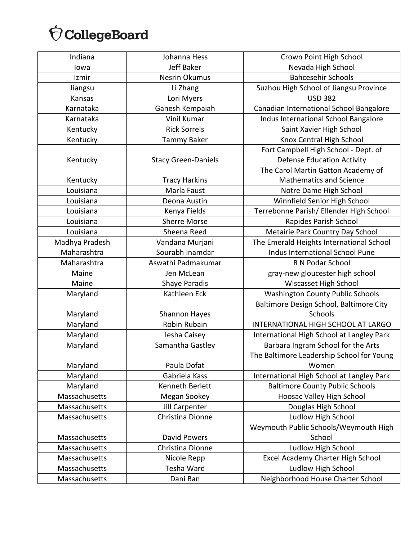| Indiana        | Johanna Hess               | Crown Point High School                   |
|----------------|----------------------------|-------------------------------------------|
| lowa           | Jeff Baker                 | Nevada High School                        |
| Izmir          | Nesrin Okumus              | <b>Bahcesehir Schools</b>                 |
| Jiangsu        | Li Zhang                   | Suzhou High School of Jiangsu Province    |
| Kansas         | Lori Myers                 | <b>USD 382</b>                            |
| Karnataka      | Ganesh Kempaiah            | Canadian International School Bangalore   |
| Karnataka      | Vinil Kumar                | Indus International School Bangalore      |
| Kentucky       | <b>Rick Sorrels</b>        | Saint Xavier High School                  |
| Kentucky       | <b>Tammy Baker</b>         | Knox Central High School                  |
|                |                            | Fort Campbell High School - Dept. of      |
| Kentucky       | <b>Stacy Green-Daniels</b> | <b>Defense Education Activity</b>         |
|                |                            | The Carol Martin Gatton Academy of        |
| Kentucky       | <b>Tracy Harkins</b>       | <b>Mathematics and Science</b>            |
| Louisiana      | Marla Faust                | Notre Dame High School                    |
| Louisiana      | Deona Austin               | Winnfield Senior High School              |
| Louisiana      | Kenya Fields               | Terrebonne Parish/ Ellender High School   |
| Louisiana      | <b>Sherre Morse</b>        | Rapides Parish School                     |
| Louisiana      | Sheena Reed                | Metairie Park Country Day School          |
| Madhya Pradesh | Vandana Murjani            | The Emerald Heights International School  |
| Maharashtra    | Sourabh Inamdar            | Indus International School Pune           |
| Maharashtra    | Aswathi Padmakumar         | R N Podar School                          |
| Maine          | Jen McLean                 | gray-new gloucester high school           |
| Maine          | Shaye Paradis              | Wiscasset High School                     |
| Maryland       | Kathleen Eck               | <b>Washington County Public Schools</b>   |
|                |                            | Baltimore Design School, Baltimore City   |
| Maryland       | Shannon Hayes              | Schools                                   |
| Maryland       | Robin Rubain               | INTERNATIONAL HIGH SCHOOL AT LARGO        |
| Maryland       | Iesha Caisey               | International High School at Langley Park |
| Maryland       | Samantha Gastley           | Barbara Ingram School for the Arts        |
|                |                            | The Baltimore Leadership School for Young |
| Maryland       | Paula Dofat                | Women                                     |
| Maryland       | Gabriela Kass              | International High School at Langley Park |
| Maryland       | Kenneth Berlett            | <b>Baltimore County Public Schools</b>    |
| Massachusetts  | Megan Sookey               | Hoosac Valley High School                 |
| Massachusetts  | Jill Carpenter             | Douglas High School                       |
| Massachusetts  | Christina Dionne           | Ludlow High School                        |
|                |                            | Weymouth Public Schools/Weymouth High     |
| Massachusetts  | <b>David Powers</b>        | School                                    |
| Massachusetts  | Christina Dionne           | Ludlow High School                        |
| Massachusetts  | Nicole Repp                | Excel Academy Charter High School         |
| Massachusetts  | Tesha Ward                 | Ludlow High School                        |
| Massachusetts  | Dani Ban                   | Neighborhood House Charter School         |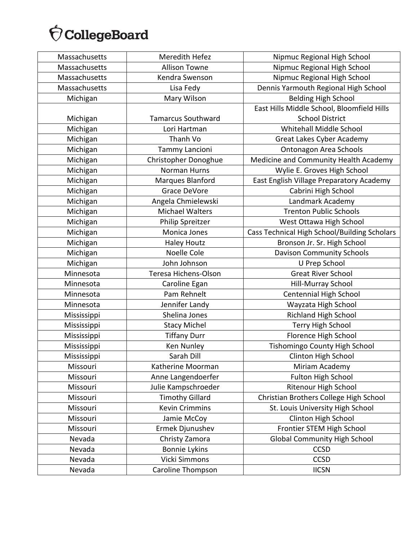| Massachusetts | Meredith Hefez            | Nipmuc Regional High School                  |
|---------------|---------------------------|----------------------------------------------|
| Massachusetts | <b>Allison Towne</b>      | Nipmuc Regional High School                  |
| Massachusetts | Kendra Swenson            | Nipmuc Regional High School                  |
| Massachusetts | Lisa Fedy                 | Dennis Yarmouth Regional High School         |
| Michigan      | Mary Wilson               | <b>Belding High School</b>                   |
|               |                           | East Hills Middle School, Bloomfield Hills   |
| Michigan      | <b>Tamarcus Southward</b> | <b>School District</b>                       |
| Michigan      | Lori Hartman              | Whitehall Middle School                      |
| Michigan      | Thanh Vo                  | Great Lakes Cyber Academy                    |
| Michigan      | Tammy Lancioni            | <b>Ontonagon Area Schools</b>                |
| Michigan      | Christopher Donoghue      | Medicine and Community Health Academy        |
| Michigan      | Norman Hurns              | Wylie E. Groves High School                  |
| Michigan      | Marques Blanford          | East English Village Preparatory Academy     |
| Michigan      | <b>Grace DeVore</b>       | Cabrini High School                          |
| Michigan      | Angela Chmielewski        | Landmark Academy                             |
| Michigan      | <b>Michael Walters</b>    | <b>Trenton Public Schools</b>                |
| Michigan      | Philip Spreitzer          | West Ottawa High School                      |
| Michigan      | Monica Jones              | Cass Technical High School/Building Scholars |
| Michigan      | <b>Haley Houtz</b>        | Bronson Jr. Sr. High School                  |
| Michigan      | Noelle Cole               | <b>Davison Community Schools</b>             |
| Michigan      | John Johnson              | U Prep School                                |
| Minnesota     | Teresa Hichens-Olson      | <b>Great River School</b>                    |
| Minnesota     | Caroline Egan             | Hill-Murray School                           |
| Minnesota     | Pam Rehnelt               | <b>Centennial High School</b>                |
| Minnesota     | Jennifer Landy            | Wayzata High School                          |
| Mississippi   | Shelina Jones             | Richland High School                         |
| Mississippi   | <b>Stacy Michel</b>       | Terry High School                            |
| Mississippi   | <b>Tiffany Durr</b>       | Florence High School                         |
| Mississippi   | Ken Nunley                | Tishomingo County High School                |
| Mississippi   | Sarah Dill                | Clinton High School                          |
| Missouri      | Katherine Moorman         | Miriam Academy                               |
| Missouri      | Anne Langendoerfer        | <b>Fulton High School</b>                    |
| Missouri      | Julie Kampschroeder       | Ritenour High School                         |
| Missouri      | <b>Timothy Gillard</b>    | Christian Brothers College High School       |
| Missouri      | <b>Kevin Crimmins</b>     | St. Louis University High School             |
| Missouri      | Jamie McCoy               | Clinton High School                          |
| Missouri      | Ermek Djunushev           | Frontier STEM High School                    |
| Nevada        | Christy Zamora            | <b>Global Community High School</b>          |
| Nevada        | <b>Bonnie Lykins</b>      | <b>CCSD</b>                                  |
| Nevada        | Vicki Simmons             | <b>CCSD</b>                                  |
| Nevada        | Caroline Thompson         | <b>IICSN</b>                                 |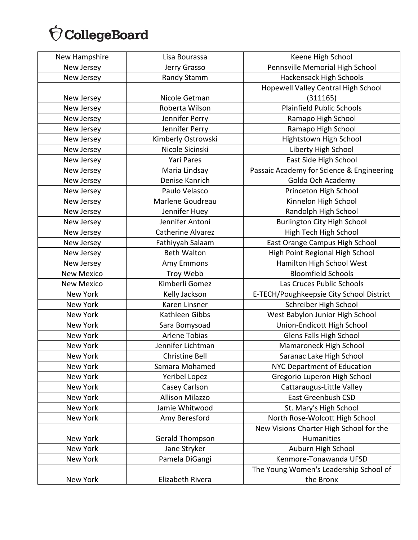| New Hampshire     | Lisa Bourassa            | Keene High School                         |
|-------------------|--------------------------|-------------------------------------------|
| New Jersey        | Jerry Grasso             | Pennsville Memorial High School           |
| New Jersey        | Randy Stamm              | Hackensack High Schools                   |
|                   |                          | Hopewell Valley Central High School       |
| New Jersey        | Nicole Getman            | (311165)                                  |
| New Jersey        | Roberta Wilson           | <b>Plainfield Public Schools</b>          |
| New Jersey        | Jennifer Perry           | Ramapo High School                        |
| New Jersey        | Jennifer Perry           | Ramapo High School                        |
| New Jersey        | Kimberly Ostrowski       | Hightstown High School                    |
| New Jersey        | Nicole Sicinski          | Liberty High School                       |
| New Jersey        | <b>Yari Pares</b>        | East Side High School                     |
| New Jersey        | Maria Lindsay            | Passaic Academy for Science & Engineering |
| New Jersey        | Denise Kanrich           | Golda Och Academy                         |
| New Jersey        | Paulo Velasco            | Princeton High School                     |
| New Jersey        | Marlene Goudreau         | Kinnelon High School                      |
| New Jersey        | Jennifer Huey            | Randolph High School                      |
| New Jersey        | Jennifer Antoni          | <b>Burlington City High School</b>        |
| New Jersey        | <b>Catherine Alvarez</b> | High Tech High School                     |
| New Jersey        | Fathiyyah Salaam         | East Orange Campus High School            |
| New Jersey        | <b>Beth Walton</b>       | High Point Regional High School           |
| New Jersey        | Amy Emmons               | Hamilton High School West                 |
| <b>New Mexico</b> | Troy Webb                | <b>Bloomfield Schools</b>                 |
| <b>New Mexico</b> | Kimberli Gomez           | Las Cruces Public Schools                 |
| New York          | Kelly Jackson            | E-TECH/Poughkeepsie City School District  |
| New York          | Karen Linsner            | Schreiber High School                     |
| New York          | Kathleen Gibbs           | West Babylon Junior High School           |
| New York          | Sara Bomysoad            | Union-Endicott High School                |
| New York          | <b>Arlene Tobias</b>     | Glens Falls High School                   |
| <b>New York</b>   | Jennifer Lichtman        | Mamaroneck High School                    |
| New York          | Christine Bell           | Saranac Lake High School                  |
| New York          | Samara Mohamed           | <b>NYC Department of Education</b>        |
| New York          | <b>Yeribel Lopez</b>     | Gregorio Luperon High School              |
| New York          | Casey Carlson            | Cattaraugus-Little Valley                 |
| New York          | <b>Allison Milazzo</b>   | <b>East Greenbush CSD</b>                 |
| New York          | Jamie Whitwood           | St. Mary's High School                    |
| New York          | Amy Beresford            | North Rose-Wolcott High School            |
|                   |                          | New Visions Charter High School for the   |
| New York          | Gerald Thompson          | Humanities                                |
| <b>New York</b>   | Jane Stryker             | Auburn High School                        |
| New York          | Pamela DiGangi           | Kenmore-Tonawanda UFSD                    |
|                   |                          | The Young Women's Leadership School of    |
| New York          | Elizabeth Rivera         | the Bronx                                 |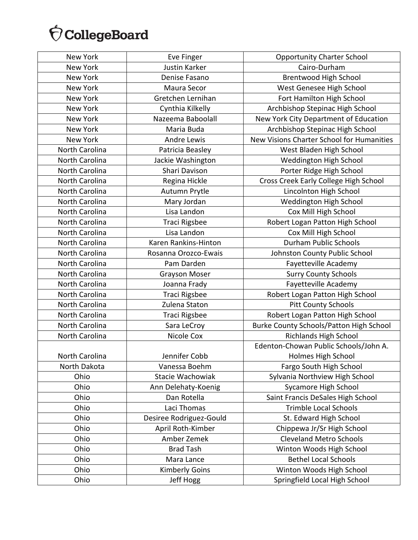| New York       | Eve Finger              | <b>Opportunity Charter School</b>         |
|----------------|-------------------------|-------------------------------------------|
| New York       | Justin Karker           | Cairo-Durham                              |
| New York       | Denise Fasano           | <b>Brentwood High School</b>              |
| New York       | Maura Secor             | West Genesee High School                  |
| New York       | Gretchen Lernihan       | Fort Hamilton High School                 |
| New York       | Cynthia Kilkelly        | Archbishop Stepinac High School           |
| New York       | Nazeema Baboolall       | New York City Department of Education     |
| New York       | Maria Buda              | Archbishop Stepinac High School           |
| New York       | <b>Andre Lewis</b>      | New Visions Charter School for Humanities |
| North Carolina | Patricia Beasley        | West Bladen High School                   |
| North Carolina | Jackie Washington       | Weddington High School                    |
| North Carolina | Shari Davison           | Porter Ridge High School                  |
| North Carolina | Regina Hickle           | Cross Creek Early College High School     |
| North Carolina | Autumn Prytle           | Lincolnton High School                    |
| North Carolina | Mary Jordan             | Weddington High School                    |
| North Carolina | Lisa Landon             | Cox Mill High School                      |
| North Carolina | Traci Rigsbee           | Robert Logan Patton High School           |
| North Carolina | Lisa Landon             | Cox Mill High School                      |
| North Carolina | Karen Rankins-Hinton    | <b>Durham Public Schools</b>              |
| North Carolina | Rosanna Orozco-Ewais    | Johnston County Public School             |
| North Carolina | Pam Darden              | Fayetteville Academy                      |
| North Carolina | <b>Grayson Moser</b>    | <b>Surry County Schools</b>               |
| North Carolina | Joanna Frady            | Fayetteville Academy                      |
| North Carolina | Traci Rigsbee           | Robert Logan Patton High School           |
| North Carolina | Zulena Staton           | <b>Pitt County Schools</b>                |
| North Carolina | Traci Rigsbee           | Robert Logan Patton High School           |
| North Carolina | Sara LeCroy             | Burke County Schools/Patton High School   |
| North Carolina | Nicole Cox              | Richlands High School                     |
|                |                         | Edenton-Chowan Public Schools/John A.     |
| North Carolina | Jennifer Cobb           | Holmes High School                        |
| North Dakota   | Vanessa Boehm           | Fargo South High School                   |
| Ohio           | Stacie Wachowiak        | Sylvania Northview High School            |
| Ohio           | Ann Delehaty-Koenig     | <b>Sycamore High School</b>               |
| Ohio           | Dan Rotella             | Saint Francis DeSales High School         |
| Ohio           | Laci Thomas             | <b>Trimble Local Schools</b>              |
| Ohio           | Desiree Rodriguez-Gould | St. Edward High School                    |
| Ohio           | April Roth-Kimber       | Chippewa Jr/Sr High School                |
| Ohio           | Amber Zemek             | <b>Cleveland Metro Schools</b>            |
| Ohio           | <b>Brad Tash</b>        | Winton Woods High School                  |
| Ohio           | Mara Lance              | <b>Bethel Local Schools</b>               |
| Ohio           | <b>Kimberly Goins</b>   | Winton Woods High School                  |
| Ohio           | Jeff Hogg               | Springfield Local High School             |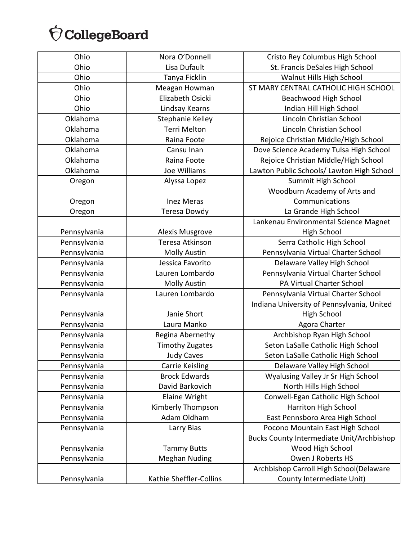| Ohio         | Nora O'Donnell          | Cristo Rey Columbus High School                  |
|--------------|-------------------------|--------------------------------------------------|
| Ohio         | Lisa Dufault            | St. Francis DeSales High School                  |
| Ohio         | Tanya Ficklin           | Walnut Hills High School                         |
| Ohio         | Meagan Howman           | ST MARY CENTRAL CATHOLIC HIGH SCHOOL             |
| Ohio         | Elizabeth Osicki        | Beachwood High School                            |
| Ohio         | Lindsay Kearns          | Indian Hill High School                          |
| Oklahoma     | Stephanie Kelley        | Lincoln Christian School                         |
| Oklahoma     | <b>Terri Melton</b>     | Lincoln Christian School                         |
| Oklahoma     | Raina Foote             | Rejoice Christian Middle/High School             |
| Oklahoma     | Cansu Inan              | Dove Science Academy Tulsa High School           |
| Oklahoma     | Raina Foote             | Rejoice Christian Middle/High School             |
| Oklahoma     | Joe Williams            | Lawton Public Schools/ Lawton High School        |
| Oregon       | Alyssa Lopez            | Summit High School                               |
|              |                         | Woodburn Academy of Arts and                     |
| Oregon       | <b>Inez Meras</b>       | Communications                                   |
| Oregon       | Teresa Dowdy            | La Grande High School                            |
|              |                         | Lankenau Environmental Science Magnet            |
| Pennsylvania | Alexis Musgrove         | <b>High School</b>                               |
| Pennsylvania | Teresa Atkinson         | Serra Catholic High School                       |
| Pennsylvania | <b>Molly Austin</b>     | Pennsylvania Virtual Charter School              |
| Pennsylvania | Jessica Favorito        | Delaware Valley High School                      |
| Pennsylvania | Lauren Lombardo         | Pennsylvania Virtual Charter School              |
| Pennsylvania | <b>Molly Austin</b>     | PA Virtual Charter School                        |
| Pennsylvania | Lauren Lombardo         | Pennsylvania Virtual Charter School              |
|              |                         | Indiana University of Pennsylvania, United       |
| Pennsylvania | Janie Short             | <b>High School</b>                               |
| Pennsylvania | Laura Manko             | Agora Charter                                    |
| Pennsylvania | Regina Abernethy        | Archbishop Ryan High School                      |
| Pennsylvania | <b>Timothy Zugates</b>  | Seton LaSalle Catholic High School               |
| Pennsylvania | <b>Judy Caves</b>       | Seton LaSalle Catholic High School               |
| Pennsylvania | <b>Carrie Keisling</b>  | Delaware Valley High School                      |
| Pennsylvania | <b>Brock Edwards</b>    | Wyalusing Valley Jr Sr High School               |
| Pennsylvania | David Barkovich         | North Hills High School                          |
| Pennsylvania | <b>Elaine Wright</b>    | Conwell-Egan Catholic High School                |
| Pennsylvania | Kimberly Thompson       | Harriton High School                             |
| Pennsylvania | Adam Oldham             | East Pennsboro Area High School                  |
| Pennsylvania | Larry Bias              | Pocono Mountain East High School                 |
|              |                         | <b>Bucks County Intermediate Unit/Archbishop</b> |
| Pennsylvania | <b>Tammy Butts</b>      | Wood High School                                 |
| Pennsylvania | <b>Meghan Nuding</b>    | Owen J Roberts HS                                |
|              |                         | Archbishop Carroll High School(Delaware          |
| Pennsylvania | Kathie Sheffler-Collins | County Intermediate Unit)                        |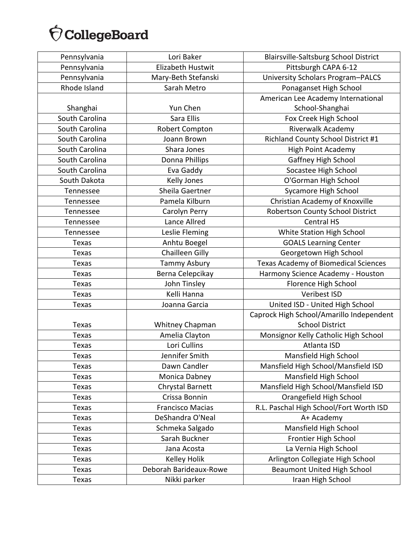| Pennsylvania   | Lori Baker              | Blairsville-Saltsburg School District       |
|----------------|-------------------------|---------------------------------------------|
| Pennsylvania   | Elizabeth Hustwit       | Pittsburgh CAPA 6-12                        |
| Pennsylvania   | Mary-Beth Stefanski     | University Scholars Program-PALCS           |
| Rhode Island   | Sarah Metro             | Ponaganset High School                      |
|                |                         | American Lee Academy International          |
| Shanghai       | Yun Chen                | School-Shanghai                             |
| South Carolina | Sara Ellis              | Fox Creek High School                       |
| South Carolina | Robert Compton          | Riverwalk Academy                           |
| South Carolina | Joann Brown             | Richland County School District #1          |
| South Carolina | Shara Jones             | <b>High Point Academy</b>                   |
| South Carolina | Donna Phillips          | Gaffney High School                         |
| South Carolina | Eva Gaddy               | Socastee High School                        |
| South Dakota   | Kelly Jones             | O'Gorman High School                        |
| Tennessee      | Sheila Gaertner         | Sycamore High School                        |
| Tennessee      | Pamela Kilburn          | Christian Academy of Knoxville              |
| Tennessee      | Carolyn Perry           | Robertson County School District            |
| Tennessee      | Lance Allred            | <b>Central HS</b>                           |
| Tennessee      | Leslie Fleming          | White Station High School                   |
| Texas          | Anhtu Boegel            | <b>GOALS Learning Center</b>                |
| Texas          | <b>Chailleen Gilly</b>  | Georgetown High School                      |
| Texas          | <b>Tammy Asbury</b>     | <b>Texas Academy of Biomedical Sciences</b> |
| Texas          | Berna Celepcikay        | Harmony Science Academy - Houston           |
| <b>Texas</b>   | John Tinsley            | Florence High School                        |
| Texas          | Kelli Hanna             | Veribest ISD                                |
| Texas          | Joanna Garcia           | United ISD - United High School             |
|                |                         | Caprock High School/Amarillo Independent    |
| <b>Texas</b>   | Whitney Chapman         | <b>School District</b>                      |
| Texas          | Amelia Clayton          | Monsignor Kelly Catholic High School        |
| Texas          | Lori Cullins            | Atlanta ISD                                 |
| Texas          | Jennifer Smith          | Mansfield High School                       |
| Texas          | Dawn Candler            | Mansfield High School/Mansfield ISD         |
| <b>Texas</b>   | Monica Dabney           | Mansfield High School                       |
| Texas          | Chrystal Barnett        | Mansfield High School/Mansfield ISD         |
| Texas          | Crissa Bonnin           | Orangefield High School                     |
| <b>Texas</b>   | <b>Francisco Macias</b> | R.L. Paschal High School/Fort Worth ISD     |
| Texas          | DeShandra O'Neal        | A+ Academy                                  |
| <b>Texas</b>   | Schmeka Salgado         | Mansfield High School                       |
| <b>Texas</b>   | Sarah Buckner           | Frontier High School                        |
| <b>Texas</b>   | Jana Acosta             | La Vernia High School                       |
| Texas          | Kelley Holik            | Arlington Collegiate High School            |
| Texas          | Deborah Barideaux-Rowe  | <b>Beaumont United High School</b>          |
| Texas          | Nikki parker            | Iraan High School                           |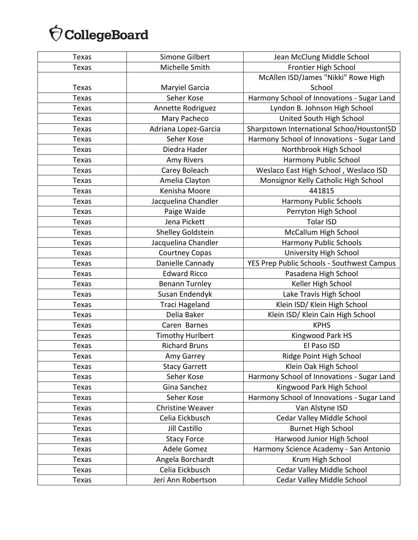| <b>Texas</b> | Simone Gilbert          | Jean McClung Middle School                 |
|--------------|-------------------------|--------------------------------------------|
| <b>Texas</b> | Michelle Smith          | Frontier High School                       |
|              |                         | McAllen ISD/James "Nikki" Rowe High        |
| Texas        | Maryiel Garcia          | School                                     |
| Texas        | Seher Kose              | Harmony School of Innovations - Sugar Land |
| <b>Texas</b> | Annette Rodriguez       | Lyndon B. Johnson High School              |
| <b>Texas</b> | Mary Pacheco            | United South High School                   |
| <b>Texas</b> | Adriana Lopez-Garcia    | Sharpstown International Schoo/HoustonISD  |
| Texas        | Seher Kose              | Harmony School of Innovations - Sugar Land |
| <b>Texas</b> | Diedra Hader            | Northbrook High School                     |
| Texas        | Amy Rivers              | Harmony Public School                      |
| Texas        | Carey Boleach           | Weslaco East High School, Weslaco ISD      |
| Texas        | Amelia Clayton          | Monsignor Kelly Catholic High School       |
| <b>Texas</b> | Kenisha Moore           | 441815                                     |
| Texas        | Jacquelina Chandler     | <b>Harmony Public Schools</b>              |
| <b>Texas</b> | Paige Waide             | Perryton High School                       |
| <b>Texas</b> | Jena Pickett            | <b>Tolar ISD</b>                           |
| Texas        | Shelley Goldstein       | McCallum High School                       |
| <b>Texas</b> | Jacquelina Chandler     | <b>Harmony Public Schools</b>              |
| Texas        | <b>Courtney Copas</b>   | University High School                     |
| Texas        | Danielle Cannady        | YES Prep Public Schools - Southwest Campus |
| Texas        | <b>Edward Ricco</b>     | Pasadena High School                       |
| Texas        | <b>Benann Turnley</b>   | Keller High School                         |
| Texas        | Susan Endendyk          | Lake Travis High School                    |
| Texas        | Traci Hageland          | Klein ISD/ Klein High School               |
| Texas        | Delia Baker             | Klein ISD/ Klein Cain High School          |
| <b>Texas</b> | Caren Barnes            | <b>KPHS</b>                                |
| Texas        | <b>Timothy Hurlbert</b> | Kingwood Park HS                           |
| <b>Texas</b> | <b>Richard Bruns</b>    | El Paso ISD                                |
| Texas        | Amy Garrey              | Ridge Point High School                    |
| Texas        | <b>Stacy Garrett</b>    | Klein Oak High School                      |
| <b>Texas</b> | Seher Kose              | Harmony School of Innovations - Sugar Land |
| Texas        | Gina Sanchez            | Kingwood Park High School                  |
| Texas        | Seher Kose              | Harmony School of Innovations - Sugar Land |
| Texas        | <b>Christine Weaver</b> | Van Alstyne ISD                            |
| Texas        | Celia Eickbusch         | Cedar Valley Middle School                 |
| <b>Texas</b> | Jill Castillo           | <b>Burnet High School</b>                  |
| Texas        | <b>Stacy Force</b>      | Harwood Junior High School                 |
| Texas        | Adele Gomez             | Harmony Science Academy - San Antonio      |
| Texas        | Angela Borchardt        | Krum High School                           |
| Texas        | Celia Eickbusch         | Cedar Valley Middle School                 |
| Texas        | Jeri Ann Robertson      | Cedar Valley Middle School                 |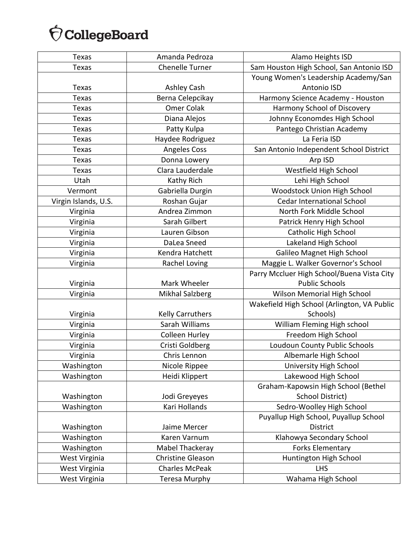| Texas                | Amanda Pedroza           | Alamo Heights ISD                           |
|----------------------|--------------------------|---------------------------------------------|
| <b>Texas</b>         | Chenelle Turner          | Sam Houston High School, San Antonio ISD    |
|                      |                          | Young Women's Leadership Academy/San        |
| Texas                | Ashley Cash              | Antonio ISD                                 |
| <b>Texas</b>         | Berna Celepcikay         | Harmony Science Academy - Houston           |
| <b>Texas</b>         | Omer Colak               | Harmony School of Discovery                 |
| Texas                | Diana Alejos             | Johnny Economdes High School                |
| Texas                | Patty Kulpa              | Pantego Christian Academy                   |
| Texas                | Haydee Rodriguez         | La Feria ISD                                |
| <b>Texas</b>         | <b>Angeles Coss</b>      | San Antonio Independent School District     |
| Texas                | Donna Lowery             | Arp ISD                                     |
| <b>Texas</b>         | Clara Lauderdale         | Westfield High School                       |
| Utah                 | Kathy Rich               | Lehi High School                            |
| Vermont              | Gabriella Durgin         | Woodstock Union High School                 |
| Virgin Islands, U.S. | Roshan Gujar             | <b>Cedar International School</b>           |
| Virginia             | Andrea Zimmon            | North Fork Middle School                    |
| Virginia             | Sarah Gilbert            | Patrick Henry High School                   |
| Virginia             | Lauren Gibson            | <b>Catholic High School</b>                 |
| Virginia             | DaLea Sneed              | Lakeland High School                        |
| Virginia             | Kendra Hatchett          | Galileo Magnet High School                  |
| Virginia             | Rachel Loving            | Maggie L. Walker Governor's School          |
|                      |                          | Parry Mccluer High School/Buena Vista City  |
| Virginia             | Mark Wheeler             | <b>Public Schools</b>                       |
| Virginia             | <b>Mikhal Salzberg</b>   | <b>Wilson Memorial High School</b>          |
|                      |                          | Wakefield High School (Arlington, VA Public |
| Virginia             | <b>Kelly Carruthers</b>  | Schools)                                    |
| Virginia             | Sarah Williams           | William Fleming High school                 |
| Virginia             | Colleen Hurley           | Freedom High School                         |
| Virginia             | Cristi Goldberg          | Loudoun County Public Schools               |
| Virginia             | Chris Lennon             | Albemarle High School                       |
| Washington           | Nicole Rippee            | University High School                      |
| Washington           | Heidi Klippert           | Lakewood High School                        |
|                      |                          | Graham-Kapowsin High School (Bethel         |
| Washington           | Jodi Greyeyes            | School District)                            |
| Washington           | Kari Hollands            | Sedro-Woolley High School                   |
|                      |                          | Puyallup High School, Puyallup School       |
| Washington           | Jaime Mercer             | <b>District</b>                             |
| Washington           | Karen Varnum             | Klahowya Secondary School                   |
| Washington           | Mabel Thackeray          | <b>Forks Elementary</b>                     |
| West Virginia        | <b>Christine Gleason</b> | Huntington High School                      |
| West Virginia        | <b>Charles McPeak</b>    | <b>LHS</b>                                  |
| West Virginia        | Teresa Murphy            | Wahama High School                          |